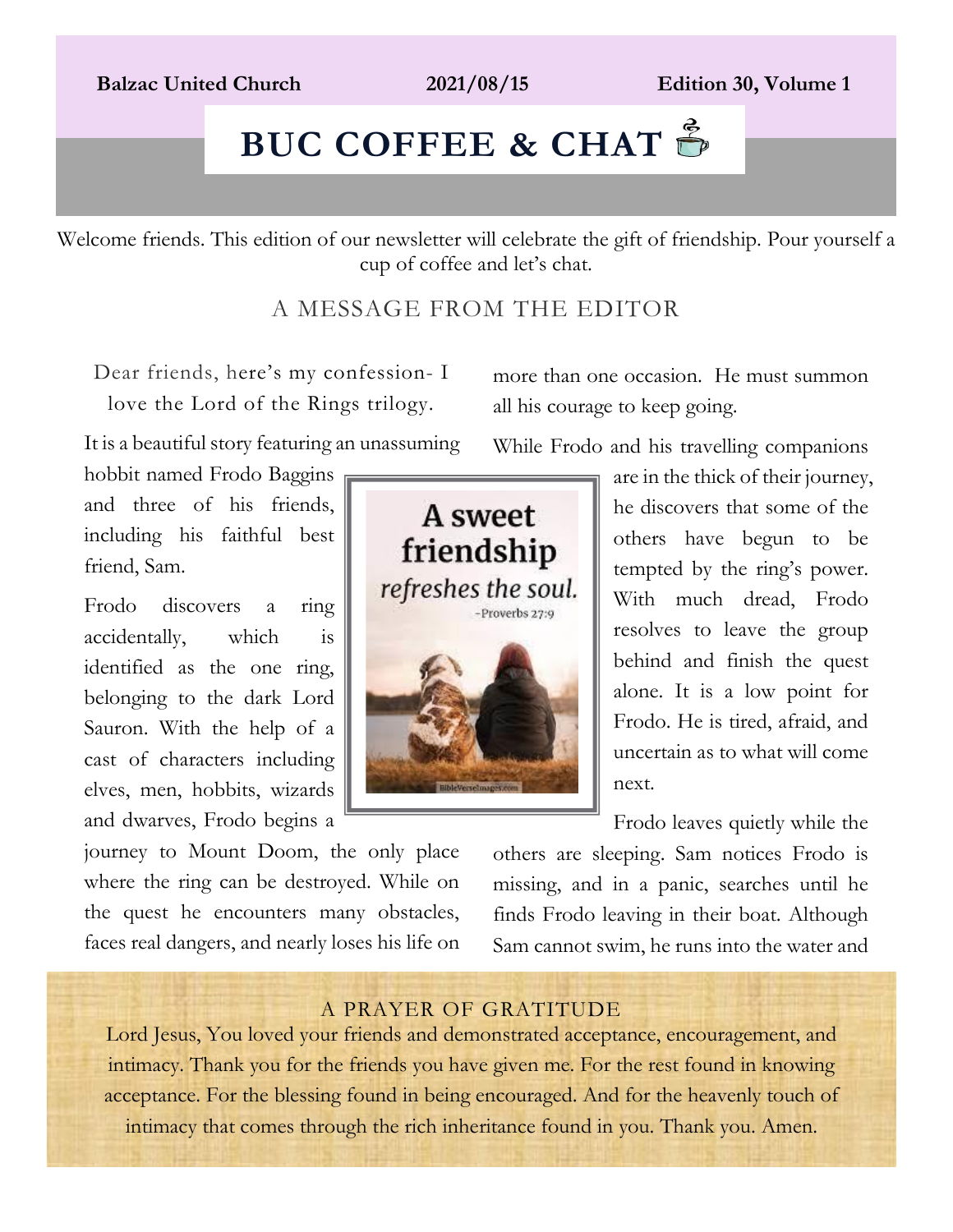## **BUC COFFEE & CHAT**  $\tilde{\mathbf{D}}$

Welcome friends. This edition of our newsletter will celebrate the gift of friendship. Pour yourself a cup of coffee and let's chat.

A MESSAGE FROM THE EDITOR

Dear friends, here's my confession- I love the Lord of the Rings trilogy.

It is a beautiful story featuring an unassuming

hobbit named Frodo Baggins and three of his friends, including his faithful best friend, Sam.

Frodo discovers a ring accidentally, which is identified as the one ring, belonging to the dark Lord Sauron. With the help of a cast of characters including elves, men, hobbits, wizards and dwarves, Frodo begins a

journey to Mount Doom, the only place where the ring can be destroyed. While on the quest he encounters many obstacles, faces real dangers, and nearly loses his life on more than one occasion. He must summon all his courage to keep going.

While Frodo and his travelling companions



Frodo leaves quietly while the

others are sleeping. Sam notices Frodo is missing, and in a panic, searches until he finds Frodo leaving in their boat. Although Sam cannot swim, he runs into the water and

#### A PRAYER OF GRATITUDE

Lord Jesus, You loved your friends and demonstrated acceptance, encouragement, and intimacy. Thank you for the friends you have given me. For the rest found in knowing acceptance. For the blessing found in being encouraged. And for the heavenly touch of intimacy that comes through the rich inheritance found in you. Thank you. Amen.

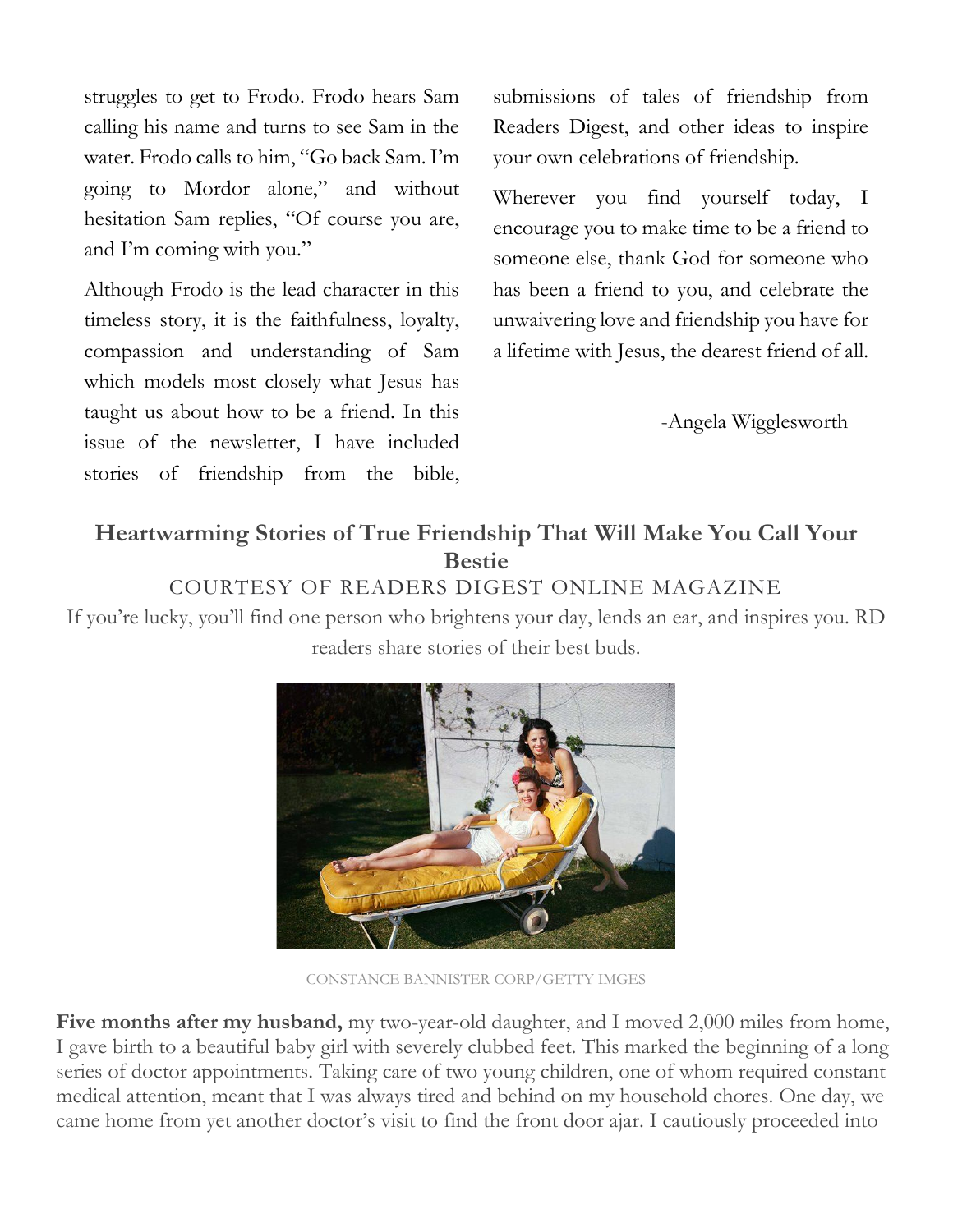struggles to get to Frodo. Frodo hears Sam calling his name and turns to see Sam in the water. Frodo calls to him, "Go back Sam. I'm going to Mordor alone," and without hesitation Sam replies, "Of course you are, and I'm coming with you."

Although Frodo is the lead character in this timeless story, it is the faithfulness, loyalty, compassion and understanding of Sam which models most closely what Jesus has taught us about how to be a friend. In this issue of the newsletter, I have included stories of friendship from the bible, submissions of tales of friendship from Readers Digest, and other ideas to inspire your own celebrations of friendship.

Wherever you find yourself today, I encourage you to make time to be a friend to someone else, thank God for someone who has been a friend to you, and celebrate the unwaivering love and friendship you have for a lifetime with Jesus, the dearest friend of all.

-Angela Wigglesworth

#### **Heartwarming Stories of True Friendship That Will Make You Call Your Bestie**

#### COURTESY OF READERS DIGEST ONLINE MAGAZINE

If you're lucky, you'll find one person who brightens your day, lends an ear, and inspires you. RD readers share stories of their best buds.



CONSTANCE BANNISTER CORP/GETTY IMGES

**Five months after my husband,** my two-year-old daughter, and I moved 2,000 miles from home, I gave birth to a beautiful baby girl with severely clubbed feet. This marked the beginning of a long series of doctor appointments. Taking care of two young children, one of whom required constant medical attention, meant that I was always tired and behind on my household chores. One day, we came home from yet another doctor's visit to find the front door ajar. I cautiously proceeded into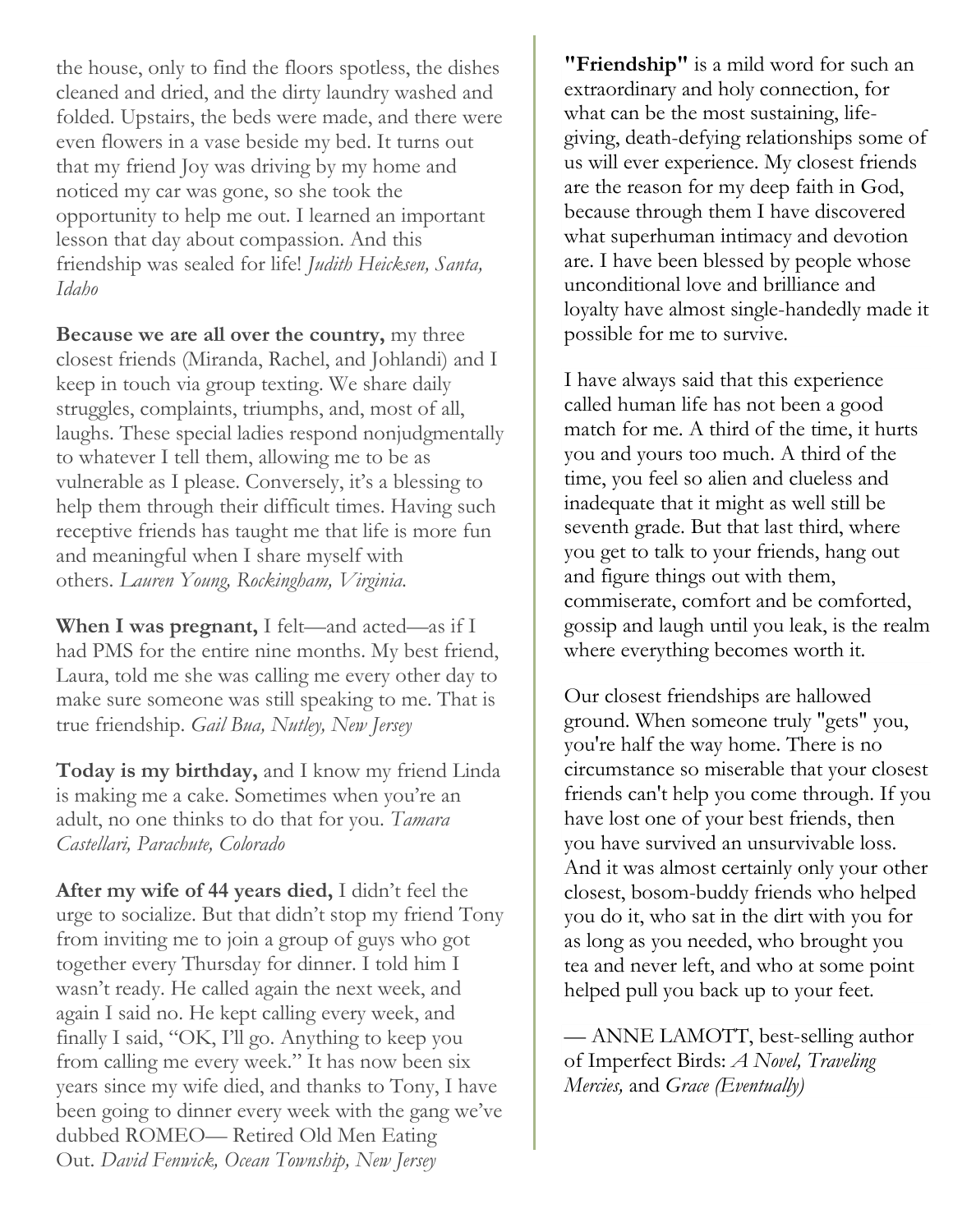the house, only to find the floors spotless, the dishes cleaned and dried, and the dirty laundry washed and folded. Upstairs, the beds were made, and there were even flowers in a vase beside my bed. It turns out that my friend Joy was driving by my home and noticed my car was gone, so she took the opportunity to help me out. I learned an important lesson that day about compassion. And this friendship was sealed for life! *Judith Heicksen, Santa, Idaho*

**Because we are all over the country,** my three closest friends (Miranda, Rachel, and Johlandi) and I keep in touch via group texting. We share daily struggles, complaints, triumphs, and, most of all, laughs. These special ladies respond nonjudgmentally to whatever I tell them, allowing me to be as vulnerable as I please. Conversely, it's a blessing to help them through their difficult times. Having such receptive friends has taught me that life is more fun and meaningful when I share myself with others. *Lauren Young, Rockingham, Virginia.*

**When I was pregnant,** I felt—and acted—as if I had PMS for the entire nine months. My best friend, Laura, told me she was calling me every other day to make sure someone was still speaking to me. That is true friendship. *Gail Bua, Nutley, New Jersey*

**Today is my birthday,** and I know my friend Linda is making me a cake. Sometimes when you're an adult, no one thinks to do that for you. *Tamara Castellari, Parachute, Colorado*

**After my wife of 44 years died,** I didn't feel the urge to socialize. But that didn't stop my friend Tony from inviting me to join a group of guys who got together every Thursday for dinner. I told him I wasn't ready. He called again the next week, and again I said no. He kept calling every week, and finally I said, "OK, I'll go. Anything to keep you from calling me every week." It has now been six years since my wife died, and thanks to Tony, I have been going to dinner every week with the gang we've dubbed ROMEO— Retired Old Men Eating Out. *David Fenwick, Ocean Township, New Jersey*

**"Friendship"** is a mild word for such an extraordinary and holy connection, for what can be the most sustaining, lifegiving, death-defying relationships some of us will ever experience. My closest friends are the reason for my deep faith in God, because through them I have discovered what superhuman intimacy and devotion are. I have been blessed by people whose unconditional love and brilliance and loyalty have almost single-handedly made it possible for me to survive.

I have always said that this experience called human life has not been a good match for me. A third of the time, it hurts you and yours too much. A third of the time, you feel so alien and clueless and inadequate that it might as well still be seventh grade. But that last third, where you get to talk to your friends, hang out and figure things out with them, commiserate, comfort and be comforted, gossip and laugh until you leak, is the realm where everything becomes worth it.

Our closest friendships are hallowed ground. When someone truly "gets" you, you're half the way home. There is no circumstance so miserable that your closest friends can't help you come through. If you have lost one of your best friends, then you have survived an unsurvivable loss. And it was almost certainly only your other closest, bosom-buddy friends who helped you do it, who sat in the dirt with you for as long as you needed, who brought you tea and never left, and who at some point helped pull you back up to your feet.

— ANNE LAMOTT, best-selling author of Imperfect Birds: *[A Novel, Traveling](https://go.redirectingat.com/?id=74968X1525084&xs=1&url=http%3A%2F%2Fsearch.barnesandnoble.com%2Fbooksearch%2FisbnInquiry.asp%3FEAN%3D9781594485046%26lkid%3DJ15656896%26pubid%3DK125307%26byo%3D1&sref=https%3A%2F%2Fwww.redbookmag.com%2Flife%2Ffriends-family%2Fa11941%2Ftrue-friendship-1%2F&xcust=%5Butm_source%7C%5Butm_campaign%7C%5Butm_medium%7C%5Bgclid%7C%5Bmsclkid%7C%5Bfbclid%7C%5Brefdomain%7Cwww.google.ca%5Bcontent_id%7Cc9ac17b8-07f5-4623-a864-9860aafd5955%5Bcontent_product_id%7C%5Bproduct_retailer_id%7C)  Mercies,* and *[Grace \(Eventually\)](https://go.redirectingat.com/?id=74968X1525084&xs=1&url=http%3A%2F%2Fsearch.barnesandnoble.com%2Fbooksearch%2FisbnInquiry.asp%3FEAN%3D9781594485046%26lkid%3DJ15656896%26pubid%3DK125307%26byo%3D1&sref=https%3A%2F%2Fwww.redbookmag.com%2Flife%2Ffriends-family%2Fa11941%2Ftrue-friendship-1%2F&xcust=%5Butm_source%7C%5Butm_campaign%7C%5Butm_medium%7C%5Bgclid%7C%5Bmsclkid%7C%5Bfbclid%7C%5Brefdomain%7Cwww.google.ca%5Bcontent_id%7Cc9ac17b8-07f5-4623-a864-9860aafd5955%5Bcontent_product_id%7C%5Bproduct_retailer_id%7C)*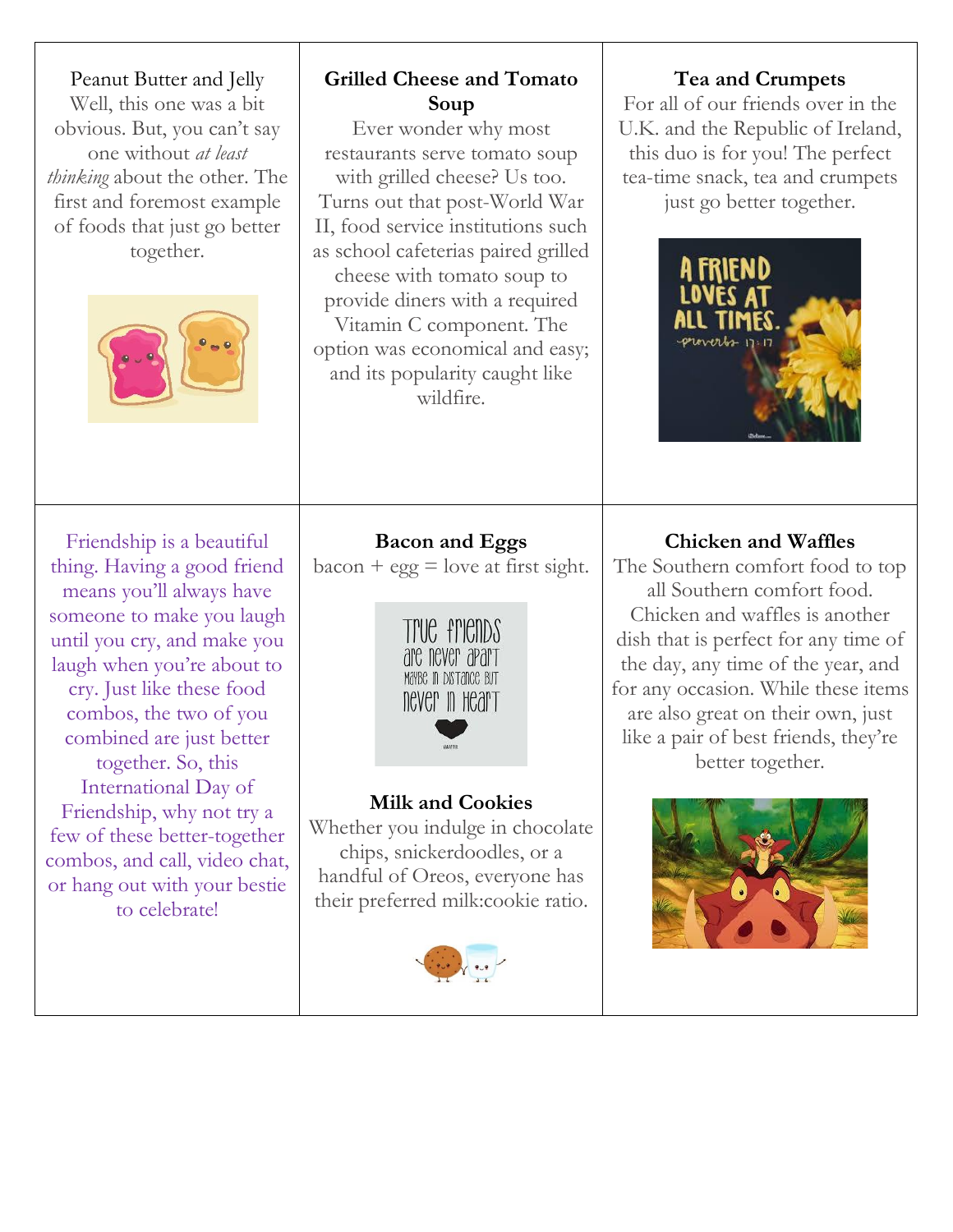#### **Grilled Cheese and Tomato Tea and Crumpets** Peanut Butter and Jelly Well, this one was a bit For all of our friends over in the **Soup** obvious. But, you can't say Ever wonder why most U.K. and the Republic of Ireland, one without *at least* restaurants serve tomato soup this duo is for you! The perfect *thinking* about the other. The tea-time snack, tea and crumpets with grilled cheese? Us too. first and foremost example Turns out that post-World War just go better together. of foods that just go better II, food service institutions such together. as school cafeterias paired grilled cheese with tomato soup to provide diners with a required Vitamin C component. The option was economical and easy; and its popularity caught like wildfire. **Chicken and Waffles** Friendship is a beautiful **Bacon and Eggs** thing. Having a good friend  $bacon + egg = love at first sight.$ The Southern comfort food to top all Southern comfort food. means you'll always have someone to make you laugh Chicken and waffles is another TNG FNGNDS dish that is perfect for any time of until you cry, and make you are never apart laugh when you're about to the day, any time of the year, and MAYBE IN DISTANCE BUT for any occasion. While these items cry. Just like these food never in Heart combos, the two of you are also great on their own, just combined are just better like a pair of best friends, they're together. So, this better together.International Day of **Milk and Cookies** Friendship, why not try a Whether you indulge in chocolate few of these better-together chips, snickerdoodles, or a combos, and call, video chat, handful of Oreos, everyone has or hang out with your bestie their preferred milk:cookie ratio. to celebrate!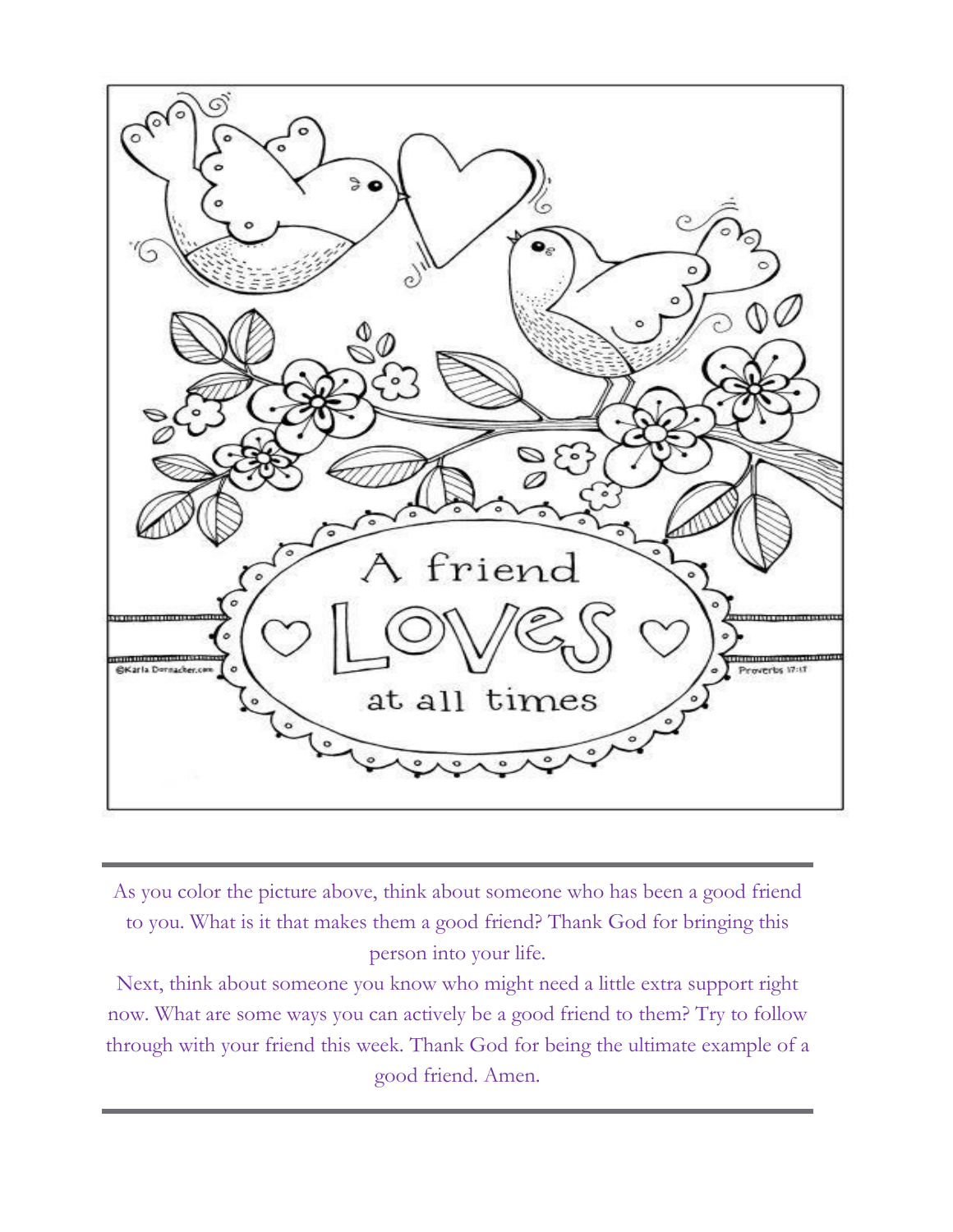

As you color the picture above, think about someone who has been a good friend to you. What is it that makes them a good friend? Thank God for bringing this person into your life.

Next, think about someone you know who might need a little extra support right now. What are some ways you can actively be a good friend to them? Try to follow through with your friend this week. Thank God for being the ultimate example of a good friend. Amen.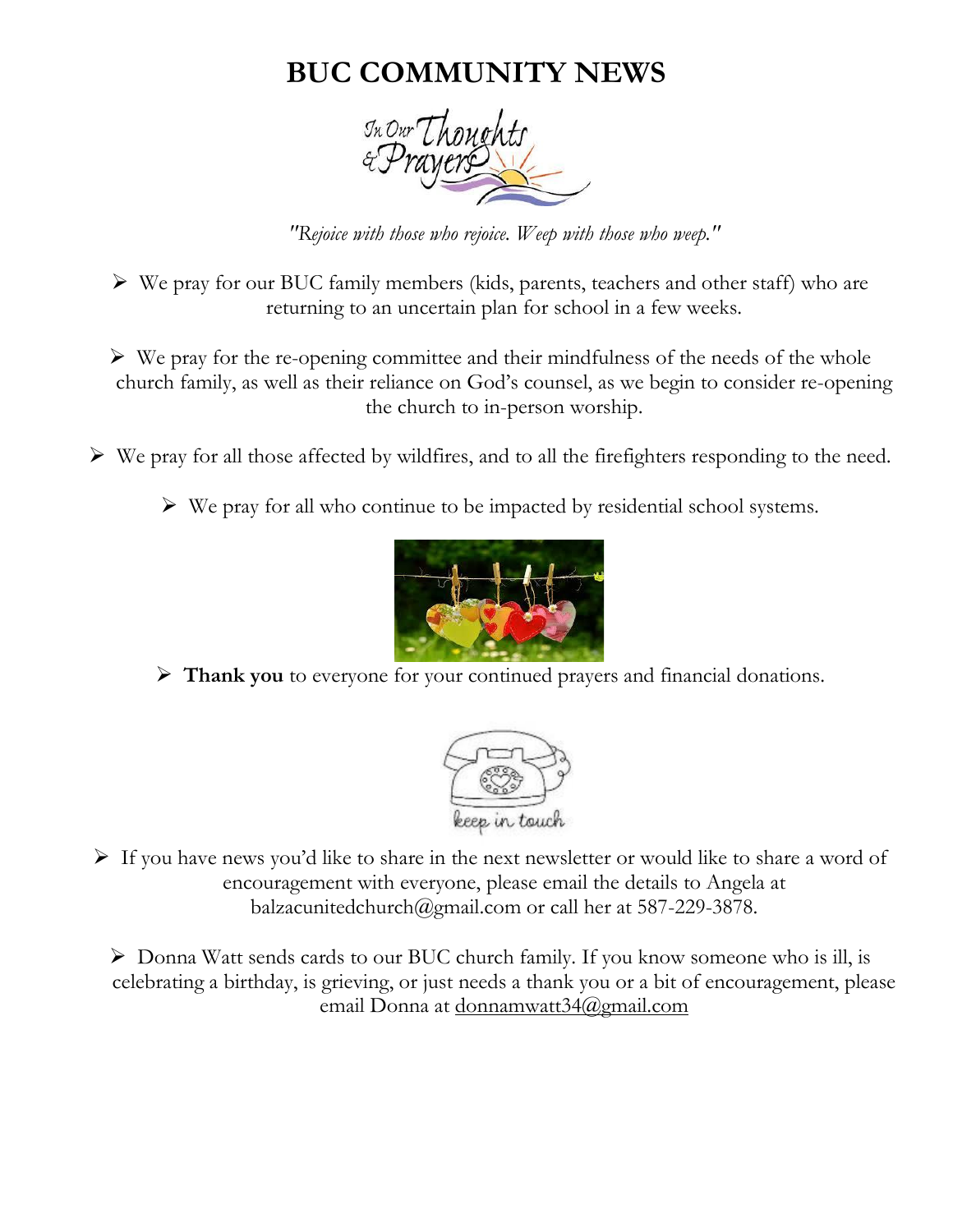## **BUC COMMUNITY NEWS**



*"Rejoice with those who rejoice. Weep with those who weep."*

 $\triangleright$  We pray for our BUC family members (kids, parents, teachers and other staff) who are returning to an uncertain plan for school in a few weeks.

 $\triangleright$  We pray for the re-opening committee and their mindfulness of the needs of the whole church family, as well as their reliance on God's counsel, as we begin to consider re-opening the church to in-person worship.

 $\triangleright$  We pray for all those affected by wildfires, and to all the firefighters responding to the need.

 $\triangleright$  We pray for all who continue to be impacted by residential school systems.



➢ **Thank you** to everyone for your continued prayers and financial donations.



 $\triangleright$  If you have news you'd like to share in the next newsletter or would like to share a word of encouragement with everyone, please email the details to Angela at balzacunitedchurch@gmail.com or call her at 587-229-3878.

➢ Donna Watt sends cards to our BUC church family. If you know someone who is ill, is celebrating a birthday, is grieving, or just needs a thank you or a bit of encouragement, please email Donna at [donnamwatt34@gmail.com](mailto:donnamwatt34@gmail.com)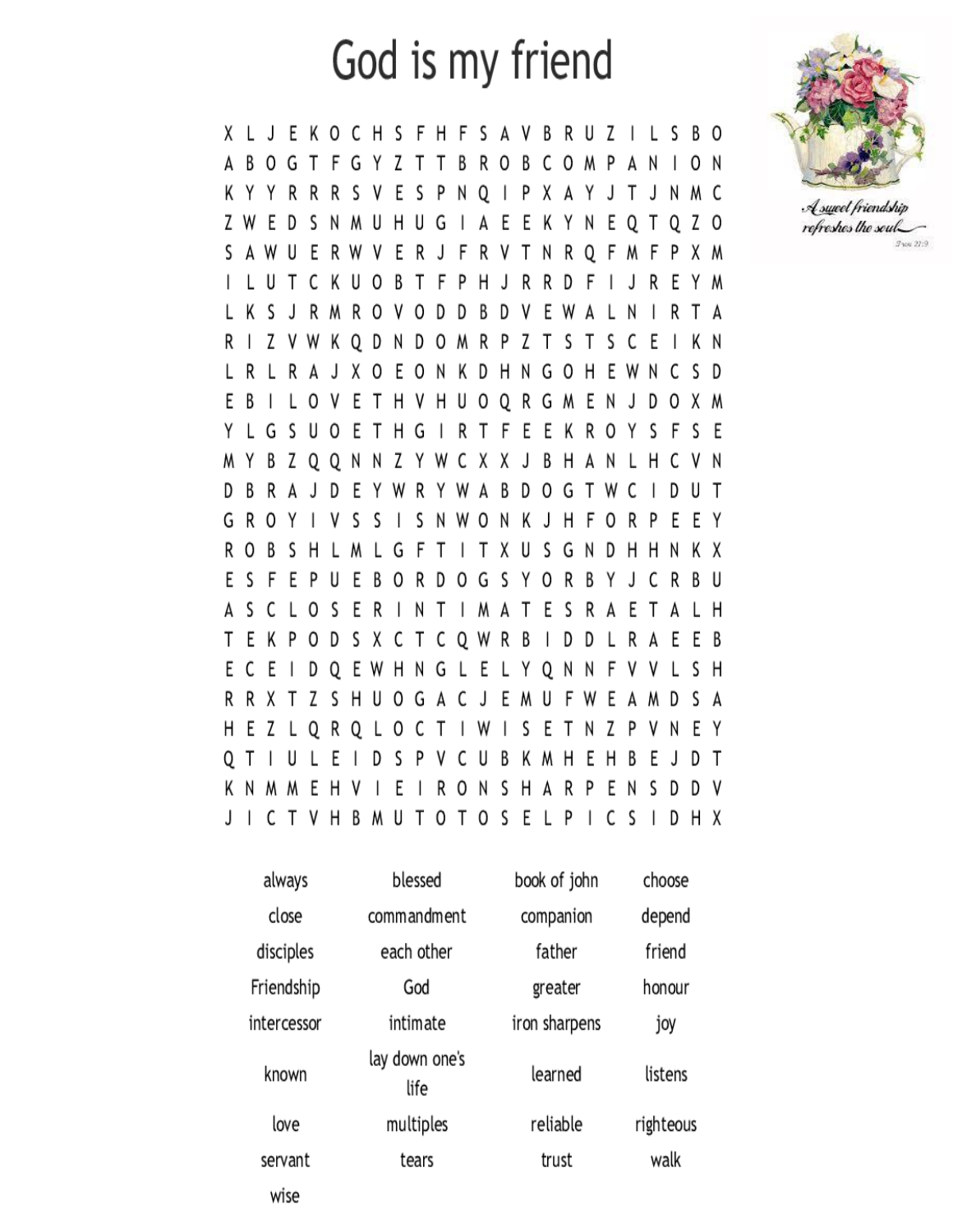# God is my friend

X L J E K O C H S F H F S A V B R U Z I L S B O A B O G T F G Y Z T T B R O B C O M P A N I O N K Y Y R R R S V E S P N Q I P X A Y J T J N M C Z W E D S N M U H U G I A E E K Y N E Q T Q Z O S A W U E R W V E R J F R V T N R Q F M F P X M I L U T C K U O B T F P H J R R D F I J R E Y M L K S J R M R O V O D D B D V E W A L N I R T A R I Z V W K Q D N D O M R P Z T S T S C E I K N L R L R A J X O E O N K D H N G O H E W N C S D E B I L O V E T H V H U O Q R G M E N J D O X M Y L G S U O E T H G I R T F E E K R O Y S F S E M Y B Z Q Q N N Z Y W C X X J B H A N L H C V N D B R A J D E Y W R Y W A B D O G T W C I D U T G R O Y I V S S I S N W O N K J H F O R P E E Y R O B S H L M L G F T I T X U S G N D H H N K X E S F E P U E B O R D O G S Y O R B Y J C R B U A S C L O S E R I N T I M A T E S R A E T A L H T E K P O D S X C T C Q W R B I D D L R A E E B E C E I D Q E W H N G L E L Y Q N N F V V L S H R R X T Z S H U O G A C J E M U F W E A M D S A H E Z L Q R Q L O C T I W I S E T N Z P V N E Y Q T I U L E I D S P V C U B K M H E H B E J D T K N M M E H V I E I R O N S H A R P E N S D D V JICTVHBMUTOTOSELPICSIDHX

| always      | blessed                | book of john  | choose    |
|-------------|------------------------|---------------|-----------|
| close       | commandment            | companion     | depend    |
| disciples   | each other             | father        | friend    |
| Friendship  | God                    | greater       | honour    |
| intercessor | intimate               | iron sharpens | joy       |
| known       | lay down one's<br>life | learned       | listens   |
| love        | multiples              | reliable      | righteous |
| servant     | tears                  | trust         | walk      |
|             |                        |               |           |

wise



A sured friendship refreshes the seul\_